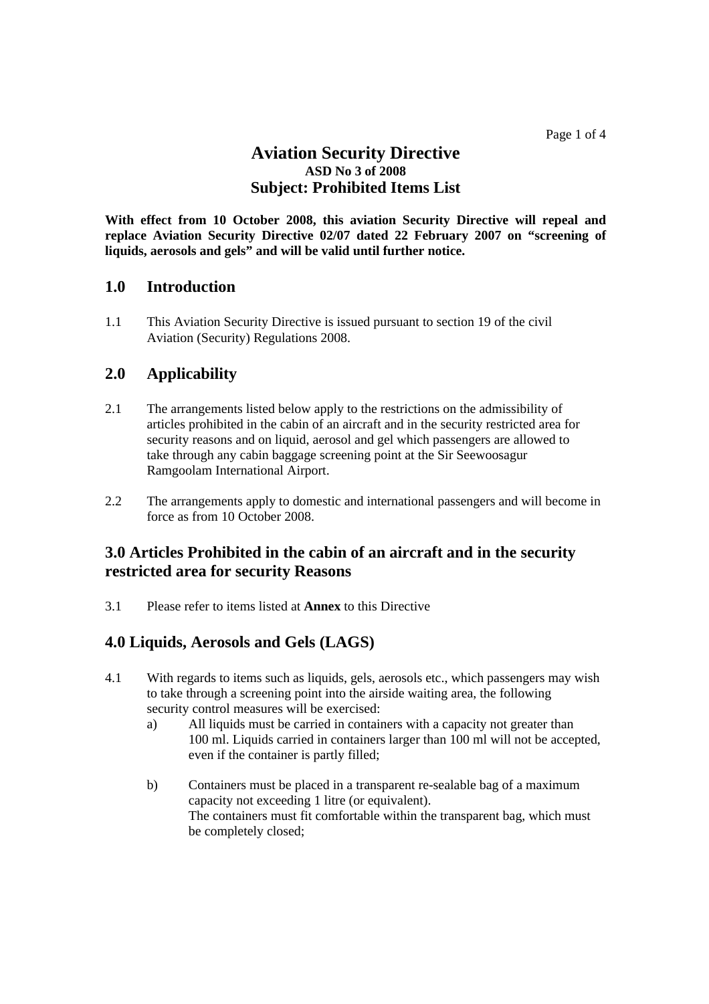## **Aviation Security Directive ASD No 3 of 2008 Subject: Prohibited Items List**

**With effect from 10 October 2008, this aviation Security Directive will repeal and replace Aviation Security Directive 02/07 dated 22 February 2007 on "screening of liquids, aerosols and gels" and will be valid until further notice.**

## **1.0 Introduction**

1.1 This Aviation Security Directive is issued pursuant to section 19 of the civil Aviation (Security) Regulations 2008.

## **2.0 Applicability**

- 2.1 The arrangements listed below apply to the restrictions on the admissibility of articles prohibited in the cabin of an aircraft and in the security restricted area for security reasons and on liquid, aerosol and gel which passengers are allowed to take through any cabin baggage screening point at the Sir Seewoosagur Ramgoolam International Airport.
- 2.2 The arrangements apply to domestic and international passengers and will become in force as from 10 October 2008.

## **3.0 Articles Prohibited in the cabin of an aircraft and in the security restricted area for security Reasons**

3.1 Please refer to items listed at **Annex** to this Directive

# **4.0 Liquids, Aerosols and Gels (LAGS)**

- 4.1 With regards to items such as liquids, gels, aerosols etc., which passengers may wish to take through a screening point into the airside waiting area, the following security control measures will be exercised:
	- a) All liquids must be carried in containers with a capacity not greater than 100 ml. Liquids carried in containers larger than 100 ml will not be accepted, even if the container is partly filled;
	- b) Containers must be placed in a transparent re-sealable bag of a maximum capacity not exceeding 1 litre (or equivalent). The containers must fit comfortable within the transparent bag, which must be completely closed;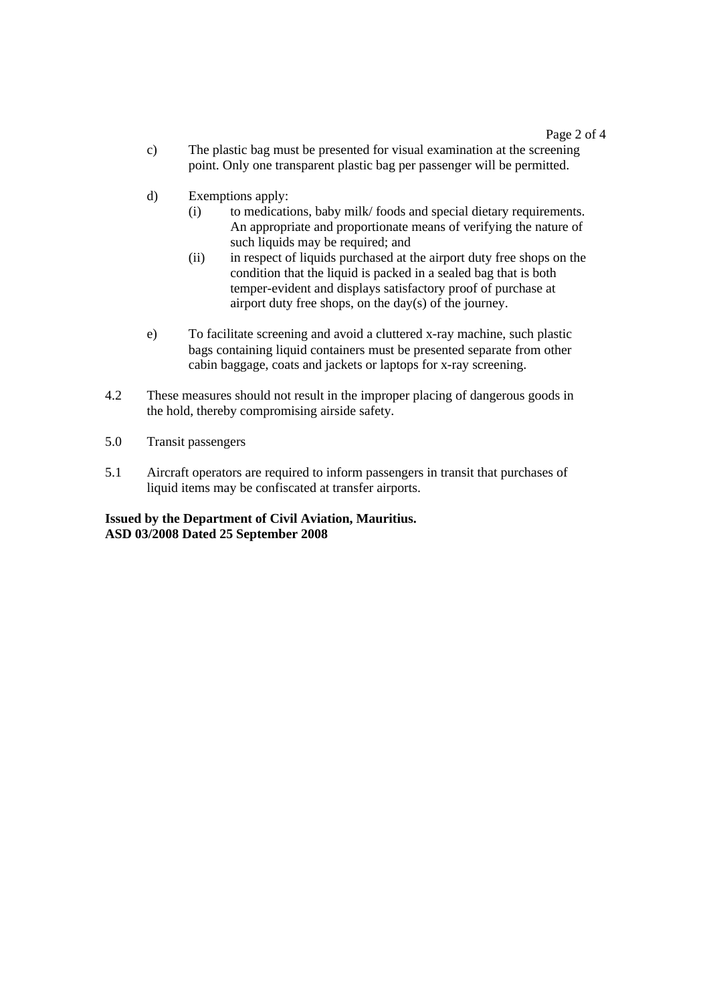- c) The plastic bag must be presented for visual examination at the screening point. Only one transparent plastic bag per passenger will be permitted.
- d) Exemptions apply:
	- (i) to medications, baby milk/ foods and special dietary requirements. An appropriate and proportionate means of verifying the nature of such liquids may be required; and
	- (ii) in respect of liquids purchased at the airport duty free shops on the condition that the liquid is packed in a sealed bag that is both temper-evident and displays satisfactory proof of purchase at airport duty free shops, on the day(s) of the journey.
- e) To facilitate screening and avoid a cluttered x-ray machine, such plastic bags containing liquid containers must be presented separate from other cabin baggage, coats and jackets or laptops for x-ray screening.
- 4.2 These measures should not result in the improper placing of dangerous goods in the hold, thereby compromising airside safety.
- 5.0 Transit passengers
- 5.1 Aircraft operators are required to inform passengers in transit that purchases of liquid items may be confiscated at transfer airports.

### **Issued by the Department of Civil Aviation, Mauritius. ASD 03/2008 Dated 25 September 2008**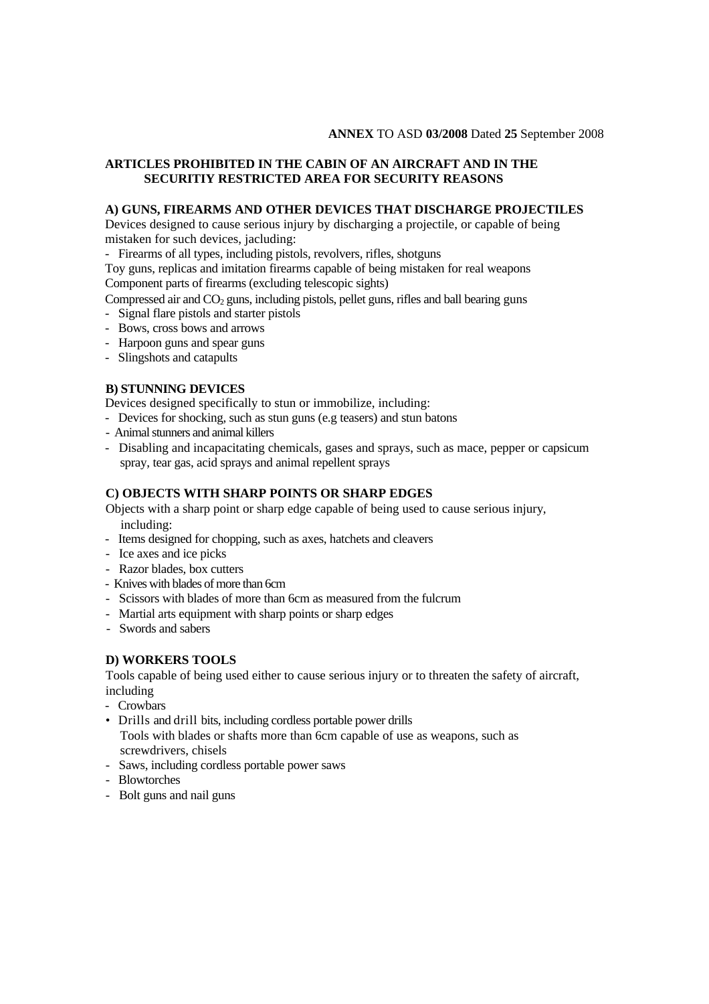#### **ANNEX** TO ASD **03/2008** Dated **25** September 2008

#### **ARTICLES PROHIBITED IN THE CABIN OF AN AIRCRAFT AND IN THE SECURITIY RESTRICTED AREA FOR SECURITY REASONS**

#### **A) GUNS, FIREARMS AND OTHER DEVICES THAT DISCHARGE PROJECTILES**

Devices designed to cause serious injury by discharging a projectile, or capable of being mistaken for such devices, jacluding:

- Firearms of all types, including pistols, revolvers, rifles, shotguns

Toy guns, replicas and imitation firearms capable of being mistaken for real weapons Component parts of firearms (excluding telescopic sights)

Compressed air and CO<sub>2</sub> guns, including pistols, pellet guns, rifles and ball bearing guns

- Signal flare pistols and starter pistols
- Bows, cross bows and arrows
- Harpoon guns and spear guns
- Slingshots and catapults

### **B) STUNNING DEVICES**

Devices designed specifically to stun or immobilize, including:

- Devices for shocking, such as stun guns (e.g teasers) and stun batons
- Animal stunners and animal killers
- Disabling and incapacitating chemicals, gases and sprays, such as mace, pepper or capsicum spray, tear gas, acid sprays and animal repellent sprays

## **C) OBJECTS WITH SHARP POINTS OR SHARP EDGES**

Objects with a sharp point or sharp edge capable of being used to cause serious injury, including:

- Items designed for chopping, such as axes, hatchets and cleavers
- Ice axes and ice picks
- Razor blades, box cutters
- Knives with blades of more than 6cm
- Scissors with blades of more than 6cm as measured from the fulcrum
- Martial arts equipment with sharp points or sharp edges
- Swords and sabers

### **D) WORKERS TOOLS**

Tools capable of being used either to cause serious injury or to threaten the safety of aircraft, including

- Crowbars
- Drills and drill bits, including cordless portable power drills Tools with blades or shafts more than 6cm capable of use as weapons, such as screwdrivers, chisels
- Saws, including cordless portable power saws
- Blowtorches
- Bolt guns and nail guns